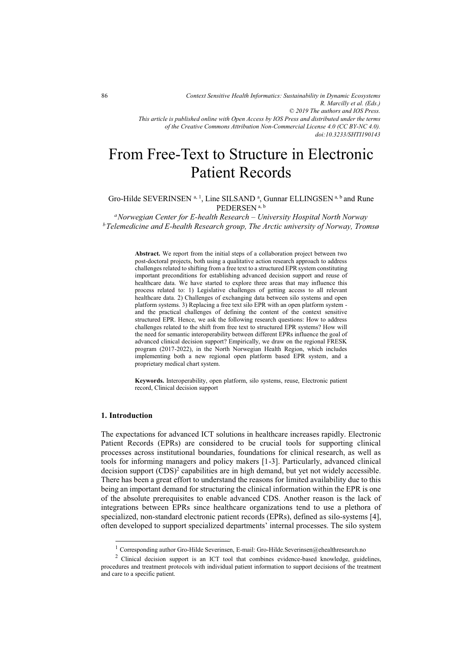*doi:10.3233/SHTI190143*

# From Free-Text to Structure in Electronic Patient Records

Gro-Hilde SEVERINSEN <sup>a, 1</sup>, Line SILSAND<sup>a</sup>, Gunnar ELLINGSEN <sup>a, b</sup> and Rune PEDERSEN a, b

*aNorwegian Center for E-health Research – University Hospital North Norway bTelemedicine and E-health Research group, The Arctic university of Norway, Tromsø*

> **Abstract.** We report from the initial steps of a collaboration project between two post-doctoral projects, both using a qualitative action research approach to address challenges related to shifting from a free text to a structured EPR system constituting important preconditions for establishing advanced decision support and reuse of healthcare data. We have started to explore three areas that may influence this process related to: 1) Legislative challenges of getting access to all relevant healthcare data. 2) Challenges of exchanging data between silo systems and open platform systems. 3) Replacing a free text silo EPR with an open platform system and the practical challenges of defining the content of the context sensitive structured EPR. Hence, we ask the following research questions: How to address challenges related to the shift from free text to structured EPR systems? How will the need for semantic interoperability between different EPRs influence the goal of advanced clinical decision support? Empirically, we draw on the regional FRESK program (2017-2022), in the North Norwegian Health Region, which includes implementing both a new regional open platform based EPR system, and a proprietary medical chart system.

> **Keywords.** Interoperability, open platform, silo systems, reuse, Electronic patient record, Clinical decision support

#### **1. Introduction**

-

The expectations for advanced ICT solutions in healthcare increases rapidly. Electronic Patient Records (EPRs) are considered to be crucial tools for supporting clinical processes across institutional boundaries, foundations for clinical research, as well as tools for informing managers and policy makers [1-3]. Particularly, advanced clinical decision support  $(CDS)^2$  capabilities are in high demand, but yet not widely accessible. There has been a great effort to understand the reasons for limited availability due to this being an important demand for structuring the clinical information within the EPR is one of the absolute prerequisites to enable advanced CDS. Another reason is the lack of integrations between EPRs since healthcare organizations tend to use a plethora of specialized, non-standard electronic patient records (EPRs), defined as silo-systems [4], often developed to support specialized departments' internal processes. The silo system

<sup>1</sup> Corresponding author Gro-Hilde Severinsen, E-mail: Gro-Hilde.Severinsen@ehealthresearch.no

<sup>&</sup>lt;sup>2</sup> Clinical decision support is an ICT tool that combines evidence-based knowledge, guidelines, procedures and treatment protocols with individual patient information to support decisions of the treatment and care to a specific patient.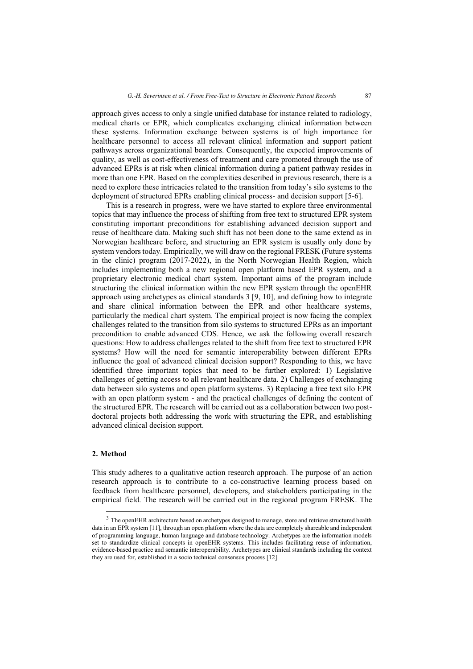approach gives access to only a single unified database for instance related to radiology, medical charts or EPR, which complicates exchanging clinical information between these systems. Information exchange between systems is of high importance for healthcare personnel to access all relevant clinical information and support patient pathways across organizational boarders. Consequently, the expected improvements of quality, as well as cost-effectiveness of treatment and care promoted through the use of advanced EPRs is at risk when clinical information during a patient pathway resides in more than one EPR. Based on the complexities described in previous research, there is a need to explore these intricacies related to the transition from today's silo systems to the deployment of structured EPRs enabling clinical process- and decision support [5-6].

This is a research in progress, were we have started to explore three environmental topics that may influence the process of shifting from free text to structured EPR system constituting important preconditions for establishing advanced decision support and reuse of healthcare data. Making such shift has not been done to the same extend as in Norwegian healthcare before, and structuring an EPR system is usually only done by system vendors today. Empirically, we will draw on the regional FRESK (Future systems in the clinic) program (2017-2022), in the North Norwegian Health Region, which includes implementing both a new regional open platform based EPR system, and a proprietary electronic medical chart system. Important aims of the program include structuring the clinical information within the new EPR system through the openEHR approach using archetypes as clinical standards 3 [9, 10], and defining how to integrate and share clinical information between the EPR and other healthcare systems, particularly the medical chart system. The empirical project is now facing the complex challenges related to the transition from silo systems to structured EPRs as an important precondition to enable advanced CDS. Hence, we ask the following overall research questions: How to address challenges related to the shift from free text to structured EPR systems? How will the need for semantic interoperability between different EPRs influence the goal of advanced clinical decision support? Responding to this, we have identified three important topics that need to be further explored: 1) Legislative challenges of getting access to all relevant healthcare data. 2) Challenges of exchanging data between silo systems and open platform systems. 3) Replacing a free text silo EPR with an open platform system - and the practical challenges of defining the content of the structured EPR. The research will be carried out as a collaboration between two postdoctoral projects both addressing the work with structuring the EPR, and establishing advanced clinical decision support.

## **2. Method**

j

This study adheres to a qualitative action research approach. The purpose of an action research approach is to contribute to a co-constructive learning process based on feedback from healthcare personnel, developers, and stakeholders participating in the empirical field. The research will be carried out in the regional program FRESK. The

<sup>&</sup>lt;sup>3</sup> The openEHR architecture based on archetypes designed to manage, store and retrieve structured health data in an EPR system [11], through an open platform where the data are completely shareable and independent of programming language, human language and database technology. Archetypes are the information models set to standardize clinical concepts in openEHR systems. This includes facilitating reuse of information, evidence-based practice and semantic interoperability. Archetypes are clinical standards including the context they are used for, established in a socio technical consensus process [12].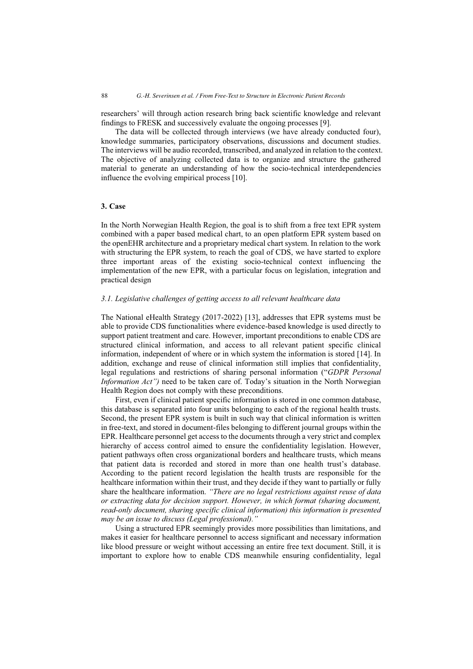researchers' will through action research bring back scientific knowledge and relevant findings to FRESK and successively evaluate the ongoing processes [9].

The data will be collected through interviews (we have already conducted four), knowledge summaries, participatory observations, discussions and document studies. The interviews will be audio recorded, transcribed, and analyzed in relation to the context. The objective of analyzing collected data is to organize and structure the gathered material to generate an understanding of how the socio-technical interdependencies influence the evolving empirical process [10].

#### **3. Case**

In the North Norwegian Health Region, the goal is to shift from a free text EPR system combined with a paper based medical chart, to an open platform EPR system based on the openEHR architecture and a proprietary medical chart system. In relation to the work with structuring the EPR system, to reach the goal of CDS, we have started to explore three important areas of the existing socio-technical context influencing the implementation of the new EPR, with a particular focus on legislation, integration and practical design

#### *3.1. Legislative challenges of getting access to all relevant healthcare data*

The National eHealth Strategy (2017-2022) [13], addresses that EPR systems must be able to provide CDS functionalities where evidence-based knowledge is used directly to support patient treatment and care. However, important preconditions to enable CDS are structured clinical information, and access to all relevant patient specific clinical information, independent of where or in which system the information is stored [14]. In addition, exchange and reuse of clinical information still implies that confidentiality, legal regulations and restrictions of sharing personal information ("*GDPR Personal Information Act"*) need to be taken care of. Today's situation in the North Norwegian Health Region does not comply with these preconditions.

First, even if clinical patient specific information is stored in one common database, this database is separated into four units belonging to each of the regional health trusts. Second, the present EPR system is built in such way that clinical information is written in free-text, and stored in document-files belonging to different journal groups within the EPR. Healthcare personnel get access to the documents through a very strict and complex hierarchy of access control aimed to ensure the confidentiality legislation. However, patient pathways often cross organizational borders and healthcare trusts, which means that patient data is recorded and stored in more than one health trust's database. According to the patient record legislation the health trusts are responsible for the healthcare information within their trust, and they decide if they want to partially or fully share the healthcare information. *"There are no legal restrictions against reuse of data or extracting data for decision support. However, in which format (sharing document, read-only document, sharing specific clinical information) this information is presented may be an issue to discuss (Legal professional)."*

Using a structured EPR seemingly provides more possibilities than limitations, and makes it easier for healthcare personnel to access significant and necessary information like blood pressure or weight without accessing an entire free text document. Still, it is important to explore how to enable CDS meanwhile ensuring confidentiality, legal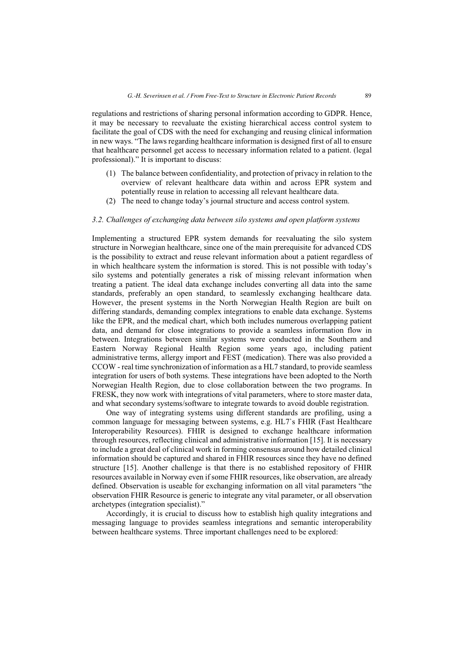regulations and restrictions of sharing personal information according to GDPR. Hence, it may be necessary to reevaluate the existing hierarchical access control system to facilitate the goal of CDS with the need for exchanging and reusing clinical information in new ways. "The laws regarding healthcare information is designed first of all to ensure that healthcare personnel get access to necessary information related to a patient. (legal professional)." It is important to discuss:

- (1) The balance between confidentiality, and protection of privacy in relation to the overview of relevant healthcare data within and across EPR system and potentially reuse in relation to accessing all relevant healthcare data.
- (2) The need to change today's journal structure and access control system.

#### *3.2. Challenges of exchanging data between silo systems and open platform systems*

Implementing a structured EPR system demands for reevaluating the silo system structure in Norwegian healthcare, since one of the main prerequisite for advanced CDS is the possibility to extract and reuse relevant information about a patient regardless of in which healthcare system the information is stored. This is not possible with today's silo systems and potentially generates a risk of missing relevant information when treating a patient. The ideal data exchange includes converting all data into the same standards, preferably an open standard, to seamlessly exchanging healthcare data. However, the present systems in the North Norwegian Health Region are built on differing standards, demanding complex integrations to enable data exchange. Systems like the EPR, and the medical chart, which both includes numerous overlapping patient data, and demand for close integrations to provide a seamless information flow in between. Integrations between similar systems were conducted in the Southern and Eastern Norway Regional Health Region some years ago, including patient administrative terms, allergy import and FEST (medication). There was also provided a CCOW - real time synchronization of information as a HL7 standard, to provide seamless integration for users of both systems. These integrations have been adopted to the North Norwegian Health Region, due to close collaboration between the two programs. In FRESK, they now work with integrations of vital parameters, where to store master data, and what secondary systems/software to integrate towards to avoid double registration.

One way of integrating systems using different standards are profiling, using a common language for messaging between systems, e.g. HL7`s FHIR (Fast Healthcare Interoperability Resources). FHIR is designed to exchange healthcare information through resources, reflecting clinical and administrative information [15]. It is necessary to include a great deal of clinical work in forming consensus around how detailed clinical information should be captured and shared in FHIR resources since they have no defined structure [15]. Another challenge is that there is no established repository of FHIR resources available in Norway even if some FHIR resources, like observation, are already defined. Observation is useable for exchanging information on all vital parameters "the observation FHIR Resource is generic to integrate any vital parameter, or all observation archetypes (integration specialist)."

Accordingly, it is crucial to discuss how to establish high quality integrations and messaging language to provides seamless integrations and semantic interoperability between healthcare systems. Three important challenges need to be explored: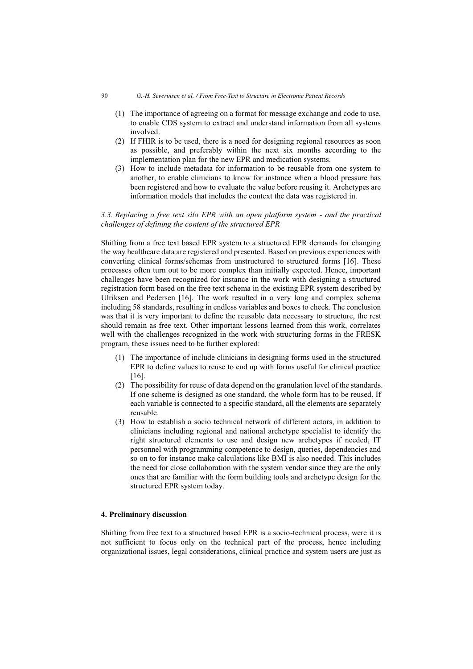- (1) The importance of agreeing on a format for message exchange and code to use, to enable CDS system to extract and understand information from all systems involved.
- (2) If FHIR is to be used, there is a need for designing regional resources as soon as possible, and preferably within the next six months according to the implementation plan for the new EPR and medication systems.
- (3) How to include metadata for information to be reusable from one system to another, to enable clinicians to know for instance when a blood pressure has been registered and how to evaluate the value before reusing it. Archetypes are information models that includes the context the data was registered in.

# *3.3. Replacing a free text silo EPR with an open platform system - and the practical challenges of defining the content of the structured EPR*

Shifting from a free text based EPR system to a structured EPR demands for changing the way healthcare data are registered and presented. Based on previous experiences with converting clinical forms/schemas from unstructured to structured forms [16]. These processes often turn out to be more complex than initially expected. Hence, important challenges have been recognized for instance in the work with designing a structured registration form based on the free text schema in the existing EPR system described by Ulriksen and Pedersen [16]. The work resulted in a very long and complex schema including 58 standards, resulting in endless variables and boxes to check. The conclusion was that it is very important to define the reusable data necessary to structure, the rest should remain as free text. Other important lessons learned from this work, correlates well with the challenges recognized in the work with structuring forms in the FRESK program, these issues need to be further explored:

- (1) The importance of include clinicians in designing forms used in the structured EPR to define values to reuse to end up with forms useful for clinical practice [16].
- (2) The possibility for reuse of data depend on the granulation level of the standards. If one scheme is designed as one standard, the whole form has to be reused. If each variable is connected to a specific standard, all the elements are separately reusable.
- (3) How to establish a socio technical network of different actors, in addition to clinicians including regional and national archetype specialist to identify the right structured elements to use and design new archetypes if needed, IT personnel with programming competence to design, queries, dependencies and so on to for instance make calculations like BMI is also needed. This includes the need for close collaboration with the system vendor since they are the only ones that are familiar with the form building tools and archetype design for the structured EPR system today.

## **4. Preliminary discussion**

Shifting from free text to a structured based EPR is a socio-technical process, were it is not sufficient to focus only on the technical part of the process, hence including organizational issues, legal considerations, clinical practice and system users are just as